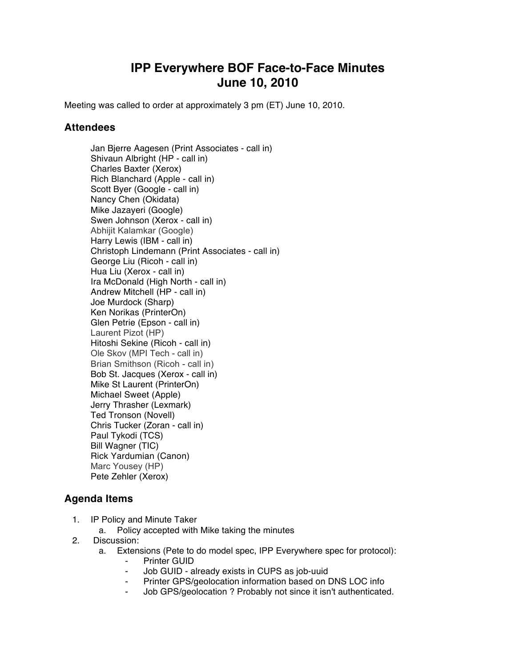## **IPP Everywhere BOF Face-to-Face Minutes June 10, 2010**

Meeting was called to order at approximately 3 pm (ET) June 10, 2010.

## **Attendees**

Jan Bjerre Aagesen (Print Associates - call in) Shivaun Albright (HP - call in) Charles Baxter (Xerox) Rich Blanchard (Apple - call in) Scott Byer (Google - call in) Nancy Chen (Okidata) Mike Jazayeri (Google) Swen Johnson (Xerox - call in) Abhijit Kalamkar (Google) Harry Lewis (IBM - call in) Christoph Lindemann (Print Associates - call in) George Liu (Ricoh - call in) Hua Liu (Xerox - call in) Ira McDonald (High North - call in) Andrew Mitchell (HP - call in) Joe Murdock (Sharp) Ken Norikas (PrinterOn) Glen Petrie (Epson - call in) Laurent Pizot (HP) Hitoshi Sekine (Ricoh - call in) Ole Skov (MPI Tech - call in) Brian Smithson (Ricoh - call in) Bob St. Jacques (Xerox - call in) Mike St Laurent (PrinterOn) Michael Sweet (Apple) Jerry Thrasher (Lexmark) Ted Tronson (Novell) Chris Tucker (Zoran - call in) Paul Tykodi (TCS) Bill Wagner (TIC) Rick Yardumian (Canon) Marc Yousey (HP) Pete Zehler (Xerox)

## **Agenda Items**

- 1. IP Policy and Minute Taker
	- a. Policy accepted with Mike taking the minutes
- 2. Discussion:
	- a. Extensions (Pete to do model spec, IPP Everywhere spec for protocol):
		- **Printer GUID**
		- ⁃ Job GUID already exists in CUPS as job-uuid
		- Printer GPS/geolocation information based on DNS LOC info
		- ⁃ Job GPS/geolocation ? Probably not since it isn't authenticated.